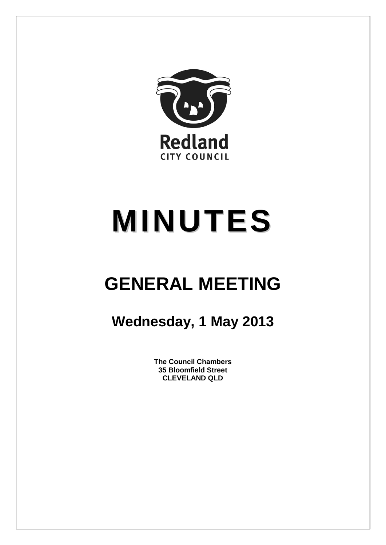

# **MINUTES**

## **GENERAL MEETING**

### **Wednesday, 1 May 2013**

**The Council Chambers 35 Bloomfield Street CLEVELAND QLD**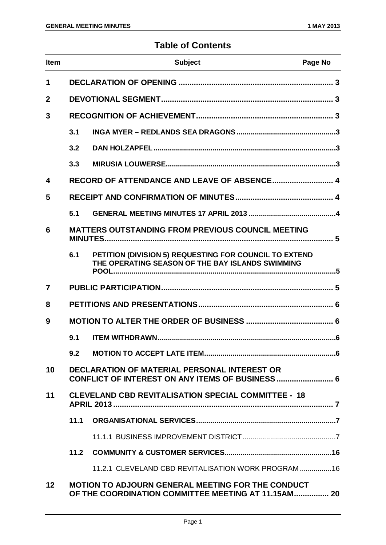#### **Table of Contents**

| <b>Item</b>     |      | <b>Subject</b>                                                                                                  | Page No |
|-----------------|------|-----------------------------------------------------------------------------------------------------------------|---------|
| 1               |      |                                                                                                                 |         |
| $\overline{2}$  |      |                                                                                                                 |         |
| 3               |      |                                                                                                                 |         |
|                 | 3.1  |                                                                                                                 |         |
|                 | 3.2  |                                                                                                                 |         |
|                 | 3.3  |                                                                                                                 |         |
| 4               |      |                                                                                                                 |         |
| 5               |      |                                                                                                                 |         |
|                 | 5.1  |                                                                                                                 |         |
| 6               |      | <b>MATTERS OUTSTANDING FROM PREVIOUS COUNCIL MEETING</b>                                                        |         |
|                 | 6.1  | PETITION (DIVISION 5) REQUESTING FOR COUNCIL TO EXTEND<br>THE OPERATING SEASON OF THE BAY ISLANDS SWIMMING      |         |
| $\overline{7}$  |      |                                                                                                                 |         |
| 8               |      |                                                                                                                 |         |
| 9               |      |                                                                                                                 |         |
|                 | 9.1  |                                                                                                                 |         |
|                 | 9.2  |                                                                                                                 |         |
| 10              |      | <b>DECLARATION OF MATERIAL PERSONAL INTEREST OR</b><br>CONFLICT OF INTEREST ON ANY ITEMS OF BUSINESS  6         |         |
| 11              |      | <b>CLEVELAND CBD REVITALISATION SPECIAL COMMITTEE - 18</b>                                                      |         |
|                 | 11.1 |                                                                                                                 |         |
|                 |      |                                                                                                                 |         |
|                 | 11.2 |                                                                                                                 |         |
|                 |      | 11.2.1 CLEVELAND CBD REVITALISATION WORK PROGRAM16                                                              |         |
| 12 <sub>2</sub> |      | <b>MOTION TO ADJOURN GENERAL MEETING FOR THE CONDUCT</b><br>OF THE COORDINATION COMMITTEE MEETING AT 11.15AM 20 |         |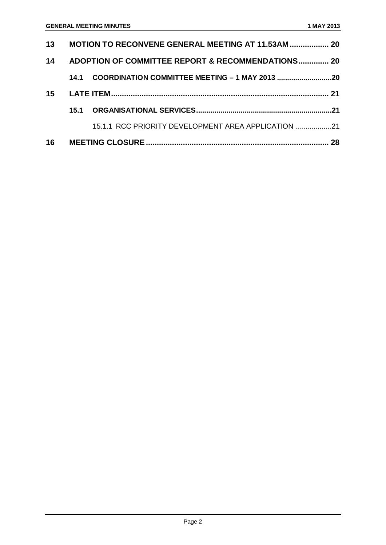|    |      |                                                     | 28 |  |
|----|------|-----------------------------------------------------|----|--|
|    |      | 15.1.1 RCC PRIORITY DEVELOPMENT AREA APPLICATION 21 |    |  |
|    | 15.1 |                                                     |    |  |
| 15 |      |                                                     |    |  |
|    | 14.1 |                                                     |    |  |
| 14 |      | ADOPTION OF COMMITTEE REPORT & RECOMMENDATIONS 20   |    |  |
| 13 |      | MOTION TO RECONVENE GENERAL MEETING AT 11.53AM  20  |    |  |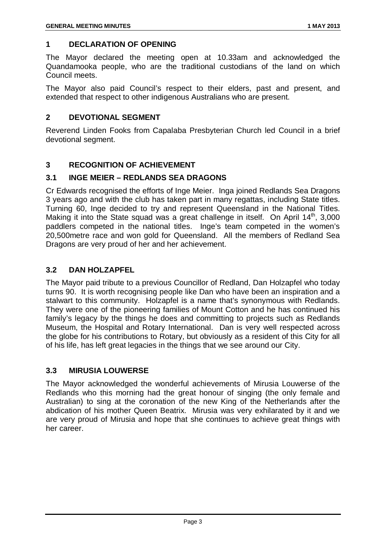#### <span id="page-3-0"></span>**1 DECLARATION OF OPENING**

The Mayor declared the meeting open at 10.33am and acknowledged the Quandamooka people, who are the traditional custodians of the land on which Council meets.

The Mayor also paid Council's respect to their elders, past and present, and extended that respect to other indigenous Australians who are present.

#### <span id="page-3-1"></span>**2 DEVOTIONAL SEGMENT**

Reverend Linden Fooks from Capalaba Presbyterian Church led Council in a brief devotional segment.

#### <span id="page-3-2"></span>**3 RECOGNITION OF ACHIEVEMENT**

#### <span id="page-3-3"></span>**3.1 INGE MEIER – REDLANDS SEA DRAGONS**

Cr Edwards recognised the efforts of Inge Meier. Inga joined Redlands Sea Dragons 3 years ago and with the club has taken part in many regattas, including State titles. Turning 60, Inge decided to try and represent Queensland in the National Titles. Making it into the State squad was a great challenge in itself. On April  $14<sup>th</sup>$ , 3,000 paddlers competed in the national titles. Inge's team competed in the women's 20,500metre race and won gold for Queensland. All the members of Redland Sea Dragons are very proud of her and her achievement.

#### <span id="page-3-4"></span>**3.2 DAN HOLZAPFEL**

The Mayor paid tribute to a previous Councillor of Redland, Dan Holzapfel who today turns 90. It is worth recognising people like Dan who have been an inspiration and a stalwart to this community. Holzapfel is a name that's synonymous with Redlands. They were one of the pioneering families of Mount Cotton and he has continued his family's legacy by the things he does and committing to projects such as Redlands Museum, the Hospital and Rotary International. Dan is very well respected across the globe for his contributions to Rotary, but obviously as a resident of this City for all of his life, has left great legacies in the things that we see around our City.

#### <span id="page-3-5"></span>**3.3 MIRUSIA LOUWERSE**

<span id="page-3-6"></span>The Mayor acknowledged the wonderful achievements of Mirusia Louwerse of the Redlands who this morning had the great honour of singing (the only female and Australian) to sing at the coronation of the new King of the Netherlands after the abdication of his mother Queen Beatrix. Mirusia was very exhilarated by it and we are very proud of Mirusia and hope that she continues to achieve great things with her career.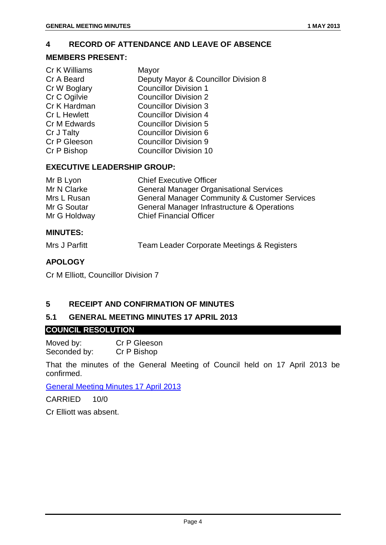#### <span id="page-4-0"></span>**4 RECORD OF ATTENDANCE AND LEAVE OF ABSENCE**

#### **MEMBERS PRESENT:**

| Cr K Williams | Mayor                                |
|---------------|--------------------------------------|
| Cr A Beard    | Deputy Mayor & Councillor Division 8 |
| Cr W Boglary  | <b>Councillor Division 1</b>         |
| Cr C Ogilvie  | <b>Councillor Division 2</b>         |
| Cr K Hardman  | <b>Councillor Division 3</b>         |
| Cr L Hewlett  | <b>Councillor Division 4</b>         |
| Cr M Edwards  | <b>Councillor Division 5</b>         |
| Cr J Talty    | <b>Councillor Division 6</b>         |
| Cr P Gleeson  | <b>Councillor Division 9</b>         |
| Cr P Bishop   | <b>Councillor Division 10</b>        |

#### **EXECUTIVE LEADERSHIP GROUP:**

| Mr B Lyon    | <b>Chief Executive Officer</b>                           |
|--------------|----------------------------------------------------------|
| Mr N Clarke  | <b>General Manager Organisational Services</b>           |
| Mrs L Rusan  | <b>General Manager Community &amp; Customer Services</b> |
| Mr G Soutar  | General Manager Infrastructure & Operations              |
| Mr G Holdway | <b>Chief Financial Officer</b>                           |

#### **MINUTES:**

| Mrs J Parfitt | Team Leader Corporate Meetings & Registers |  |
|---------------|--------------------------------------------|--|
|---------------|--------------------------------------------|--|

#### **APOLOGY**

Cr M Elliott, Councillor Division 7

#### <span id="page-4-1"></span>**5 RECEIPT AND CONFIRMATION OF MINUTES**

#### <span id="page-4-2"></span>**5.1 GENERAL MEETING MINUTES 17 APRIL 2013**

#### **COUNCIL RESOLUTION**

Moved by: Cr P Gleeson<br>Seconded by: Cr P Bishop Seconded by:

That the minutes of the General Meeting of Council held on 17 April 2013 be confirmed.

#### General Meeting Minutes 17 April 2013

CARRIED 10/0

Cr Elliott was absent.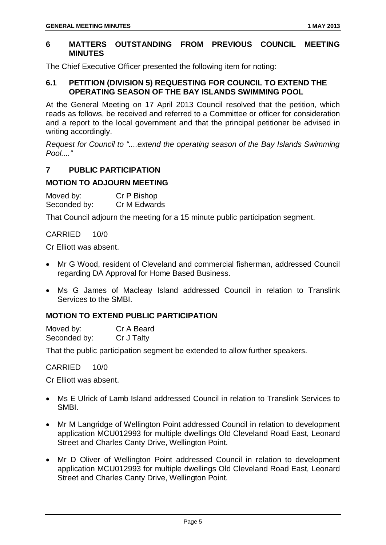#### <span id="page-5-0"></span>**6 MATTERS OUTSTANDING FROM PREVIOUS COUNCIL MEETING MINUTES**

The Chief Executive Officer presented the following item for noting:

#### <span id="page-5-1"></span>**6.1 PETITION (DIVISION 5) REQUESTING FOR COUNCIL TO EXTEND THE OPERATING SEASON OF THE BAY ISLANDS SWIMMING POOL**

At the General Meeting on 17 April 2013 Council resolved that the petition, which reads as follows, be received and referred to a Committee or officer for consideration and a report to the local government and that the principal petitioner be advised in writing accordingly.

*Request for Council to "....extend the operating season of the Bay Islands Swimming Pool...."*

#### <span id="page-5-2"></span>**7 PUBLIC PARTICIPATION**

#### **MOTION TO ADJOURN MEETING**

Moved by: Cr P Bishop Seconded by: Cr M Edwards

That Council adjourn the meeting for a 15 minute public participation segment.

#### CARRIED 10/0

Cr Elliott was absent.

- Mr G Wood, resident of Cleveland and commercial fisherman, addressed Council regarding DA Approval for Home Based Business.
- Ms G James of Macleay Island addressed Council in relation to Translink Services to the SMBI.

#### **MOTION TO EXTEND PUBLIC PARTICIPATION**

Moved by: Cr A Beard Seconded by: Cr J Talty

That the public participation segment be extended to allow further speakers.

#### CARRIED 10/0

Cr Elliott was absent.

- Ms E Ulrick of Lamb Island addressed Council in relation to Translink Services to SMBI.
- Mr M Langridge of Wellington Point addressed Council in relation to development application MCU012993 for multiple dwellings Old Cleveland Road East, Leonard Street and Charles Canty Drive, Wellington Point.
- Mr D Oliver of Wellington Point addressed Council in relation to development application MCU012993 for multiple dwellings Old Cleveland Road East, Leonard Street and Charles Canty Drive, Wellington Point.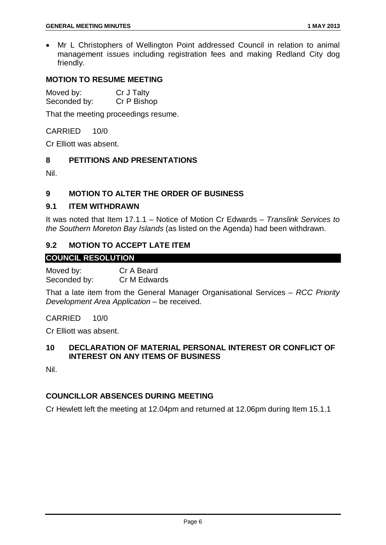• Mr L Christophers of Wellington Point addressed Council in relation to animal management issues including registration fees and making Redland City dog friendly.

#### **MOTION TO RESUME MEETING**

Moved by: Cr J Talty Seconded by: Cr P Bishop

That the meeting proceedings resume.

#### CARRIED 10/0

Cr Elliott was absent.

#### <span id="page-6-0"></span>**8 PETITIONS AND PRESENTATIONS**

Nil.

#### <span id="page-6-1"></span>**9 MOTION TO ALTER THE ORDER OF BUSINESS**

#### <span id="page-6-2"></span>**9.1 ITEM WITHDRAWN**

It was noted that Item 17.1.1 – Notice of Motion Cr Edwards – *Translink Services to the Southern Moreton Bay Islands* (as listed on the Agenda) had been withdrawn.

#### <span id="page-6-3"></span>**9.2 MOTION TO ACCEPT LATE ITEM**

#### **COUNCIL RESOLUTION**

Moved by: Cr A Beard Seconded by: Cr M Edwards

That a late item from the General Manager Organisational Services – *RCC Priority Development Area Application* – be received.

CARRIED 10/0

Cr Elliott was absent.

#### <span id="page-6-4"></span>**10 DECLARATION OF MATERIAL PERSONAL INTEREST OR CONFLICT OF INTEREST ON ANY ITEMS OF BUSINESS**

Nil.

#### **COUNCILLOR ABSENCES DURING MEETING**

Cr Hewlett left the meeting at 12.04pm and returned at 12.06pm during Item 15.1.1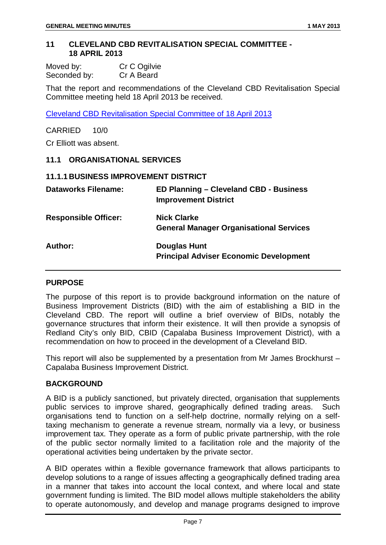#### <span id="page-7-0"></span>**11 CLEVELAND CBD REVITALISATION SPECIAL COMMITTEE - 18 APRIL 2013**

| Moved by:    | Cr C Ogilvie |
|--------------|--------------|
| Seconded by: | Cr A Beard   |

That the report and recommendations of the Cleveland CBD Revitalisation Special Committee meeting held 18 April 2013 be received.

Cleveland CBD Revitalisation Special Committee of 18 April 2013

CARRIED 10/0

Cr Elliott was absent.

#### <span id="page-7-1"></span>**11.1 ORGANISATIONAL SERVICES**

#### <span id="page-7-2"></span>**11.1.1 BUSINESS IMPROVEMENT DISTRICT**

| <b>Dataworks Filename:</b>  | ED Planning - Cleveland CBD - Business<br><b>Improvement District</b> |
|-----------------------------|-----------------------------------------------------------------------|
| <b>Responsible Officer:</b> | <b>Nick Clarke</b><br><b>General Manager Organisational Services</b>  |
| Author:                     | <b>Douglas Hunt</b><br><b>Principal Adviser Economic Development</b>  |

#### **PURPOSE**

The purpose of this report is to provide background information on the nature of Business Improvement Districts (BID) with the aim of establishing a BID in the Cleveland CBD. The report will outline a brief overview of BIDs, notably the governance structures that inform their existence. It will then provide a synopsis of Redland City's only BID, CBID (Capalaba Business Improvement District), with a recommendation on how to proceed in the development of a Cleveland BID.

This report will also be supplemented by a presentation from Mr James Brockhurst – Capalaba Business Improvement District.

#### **BACKGROUND**

A BID is a publicly sanctioned, but privately directed, organisation that supplements public services to improve shared, geographically defined trading areas. Such organisations tend to function on a self-help doctrine, normally relying on a selftaxing mechanism to generate a revenue stream, normally via a levy, or business improvement tax. They operate as a form of public private partnership, with the role of the public sector normally limited to a facilitation role and the majority of the operational activities being undertaken by the private sector.

A BID operates within a flexible governance framework that allows participants to develop solutions to a range of issues affecting a geographically defined trading area in a manner that takes into account the local context, and where local and state government funding is limited. The BID model allows multiple stakeholders the ability to operate autonomously, and develop and manage programs designed to improve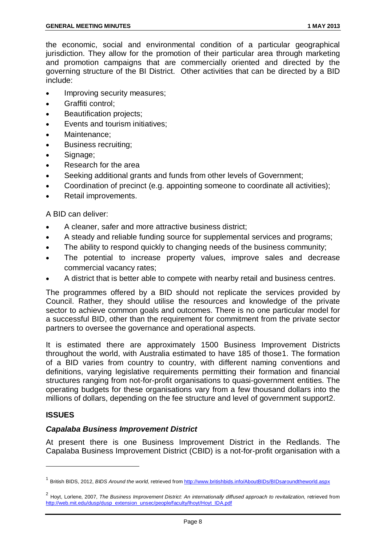the economic, social and environmental condition of a particular geographical jurisdiction. They allow for the promotion of their particular area through marketing and promotion campaigns that are commercially oriented and directed by the governing structure of the BI District. Other activities that can be directed by a BID include:

- Improving security measures;
- Graffiti control;
- **Beautification projects;**
- Events and tourism initiatives;
- Maintenance:
- Business recruiting;
- Signage;
- Research for the area
- Seeking additional grants and funds from other levels of Government;
- Coordination of precinct (e.g. appointing someone to coordinate all activities);
- Retail improvements.

A BID can deliver:

- A cleaner, safer and more attractive business district;
- A steady and reliable funding source for supplemental services and programs;
- The ability to respond quickly to changing needs of the business community;
- The potential to increase property values, improve sales and decrease commercial vacancy rates;
- A district that is better able to compete with nearby retail and business centres.

The programmes offered by a BID should not replicate the services provided by Council. Rather, they should utilise the resources and knowledge of the private sector to achieve common goals and outcomes. There is no one particular model for a successful BID, other than the requirement for commitment from the private sector partners to oversee the governance and operational aspects.

It is estimated there are approximately 1500 Business Improvement Districts throughout the world, with Australia estimated to have 185 of those[1.](#page-3-6) The formation of a BID varies from country to country, with different naming conventions and definitions, varying legislative requirements permitting their formation and financial structures ranging from not-for-profit organisations to quasi-government entities. The operating budgets for these organisations vary from a few thousand dollars into the millions of dollars, depending on the fee structure and level of government suppor[t2](#page-8-0).

#### **ISSUES**

-

#### *Capalaba Business Improvement District*

At present there is one Business Improvement District in the Redlands. The Capalaba Business Improvement District (CBID) is a not-for-profit organisation with a

<sup>&</sup>lt;sup>1</sup> British BIDS, 2012, *BIDS Around the world,* retrieved fro[m http://www.britishbids.info/AboutBIDs/BIDsaroundtheworld.aspx](http://www.britishbids.info/AboutBIDs/BIDsaroundtheworld.aspx)

<span id="page-8-0"></span><sup>&</sup>lt;sup>2</sup> Hovt, Lorlene, 2007, *The Business Improvement District: An internationally diffused approach to revitalization, retrieved from* [http://web.mit.edu/dusp/dusp\\_extension\\_unsec/people/faculty/lhoyt/Hoyt\\_IDA.pdf](http://web.mit.edu/dusp/dusp_extension_unsec/people/faculty/lhoyt/Hoyt_IDA.pdf)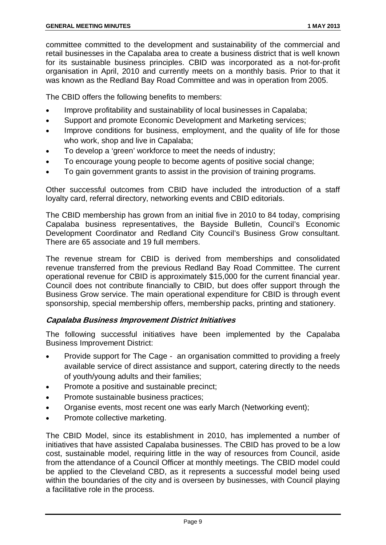committee committed to the development and sustainability of the commercial and retail businesses in the Capalaba area to create a business district that is well known for its sustainable business principles. CBID was incorporated as a not-for-profit organisation in April, 2010 and currently meets on a monthly basis. Prior to that it was known as the Redland Bay Road Committee and was in operation from 2005.

The CBID offers the following benefits to members:

- Improve profitability and sustainability of local businesses in Capalaba;
- Support and promote Economic Development and Marketing services;
- Improve conditions for business, employment, and the quality of life for those who work, shop and live in Capalaba:
- To develop a 'green' workforce to meet the needs of industry;
- To encourage young people to become agents of positive social change;
- To gain government grants to assist in the provision of training programs.

Other successful outcomes from CBID have included the introduction of a staff loyalty card, referral directory, networking events and CBID editorials.

The CBID membership has grown from an initial five in 2010 to 84 today, comprising Capalaba business representatives, the Bayside Bulletin, Council's Economic Development Coordinator and Redland City Council's Business Grow consultant. There are 65 associate and 19 full members.

The revenue stream for CBID is derived from memberships and consolidated revenue transferred from the previous Redland Bay Road Committee. The current operational revenue for CBID is approximately \$15,000 for the current financial year. Council does not contribute financially to CBID, but does offer support through the Business Grow service. The main operational expenditure for CBID is through event sponsorship, special membership offers, membership packs, printing and stationery.

#### **Capalaba Business Improvement District Initiatives**

The following successful initiatives have been implemented by the Capalaba Business Improvement District:

- Provide support for The Cage an organisation committed to providing a freely available service of direct assistance and support, catering directly to the needs of youth/young adults and their families;
- Promote a positive and sustainable precinct;
- Promote sustainable business practices;
- Organise events, most recent one was early March (Networking event);
- Promote collective marketing.

The CBID Model, since its establishment in 2010, has implemented a number of initiatives that have assisted Capalaba businesses. The CBID has proved to be a low cost, sustainable model, requiring little in the way of resources from Council, aside from the attendance of a Council Officer at monthly meetings. The CBID model could be applied to the Cleveland CBD, as it represents a successful model being used within the boundaries of the city and is overseen by businesses, with Council playing a facilitative role in the process.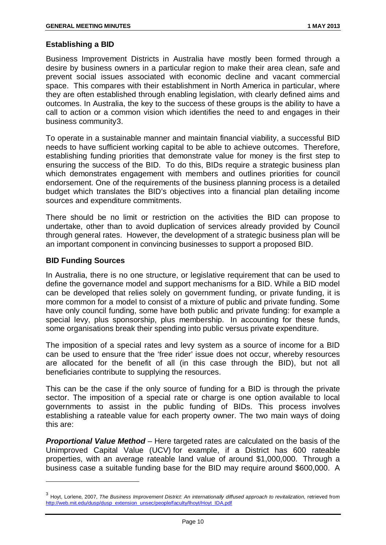#### **Establishing a BID**

Business Improvement Districts in Australia have mostly been formed through a desire by business owners in a particular region to make their area clean, safe and prevent social issues associated with economic decline and vacant commercial space. This compares with their establishment in North America in particular, where they are often established through enabling legislation, with clearly defined aims and outcomes. In Australia, the key to the success of these groups is the ability to have a call to action or a common vision which identifies the need to and engages in their business community[3.](#page-8-0)

To operate in a sustainable manner and maintain financial viability, a successful BID needs to have sufficient working capital to be able to achieve outcomes. Therefore, establishing funding priorities that demonstrate value for money is the first step to ensuring the success of the BID. To do this, BIDs require a strategic business plan which demonstrates engagement with members and outlines priorities for council endorsement. One of the requirements of the business planning process is a detailed budget which translates the BID's objectives into a financial plan detailing income sources and expenditure commitments.

There should be no limit or restriction on the activities the BID can propose to undertake, other than to avoid duplication of services already provided by Council through general rates. However, the development of a strategic business plan will be an important component in convincing businesses to support a proposed BID.

#### **BID Funding Sources**

 $\ddot{\phantom{a}}$ 

In Australia, there is no one structure, or legislative requirement that can be used to define the governance model and support mechanisms for a BID. While a BID model can be developed that relies solely on government funding, or private funding, it is more common for a model to consist of a mixture of public and private funding. Some have only council funding, some have both public and private funding: for example a special levy, plus sponsorship, plus membership. In accounting for these funds, some organisations break their spending into public versus private expenditure.

The imposition of a special rates and levy system as a source of income for a BID can be used to ensure that the 'free rider' issue does not occur, whereby resources are allocated for the benefit of all (in this case through the BID), but not all beneficiaries contribute to supplying the resources.

This can be the case if the only source of funding for a BID is through the private sector. The imposition of a special rate or charge is one option available to local governments to assist in the public funding of BIDs. This process involves establishing a rateable value for each property owner. The two main ways of doing this are:

*Proportional Value Method* – Here targeted rates are calculated on the basis of the Unimproved Capital Value (UCV) for example, if a District has 600 rateable properties, with an average rateable land value of around \$1,000,000. Through a business case a suitable funding base for the BID may require around \$600,000. A

<sup>&</sup>lt;sup>3</sup> Hovt, Lorlene, 2007, *The Business Improvement District: An internationally diffused approach to revitalization, retrieved from* [http://web.mit.edu/dusp/dusp\\_extension\\_unsec/people/faculty/lhoyt/Hoyt\\_IDA.pdf](http://web.mit.edu/dusp/dusp_extension_unsec/people/faculty/lhoyt/Hoyt_IDA.pdf)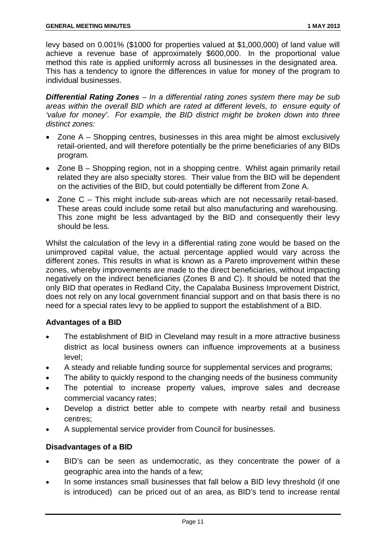levy based on 0.001% (\$1000 for properties valued at \$1,000,000) of land value will achieve a revenue base of approximately \$600,000. In the proportional value method this rate is applied uniformly across all businesses in the designated area. This has a tendency to ignore the differences in value for money of the program to individual businesses.

*Differential Rating Zones – In a differential rating zones system there may be sub areas within the overall BID which are rated at different levels, to ensure equity of 'value for money'. For example, the BID district might be broken down into three distinct zones:*

- Zone A Shopping centres, businesses in this area might be almost exclusively retail-oriented, and will therefore potentially be the prime beneficiaries of any BIDs program.
- Zone B Shopping region, not in a shopping centre. Whilst again primarily retail related they are also specialty stores. Their value from the BID will be dependent on the activities of the BID, but could potentially be different from Zone A.
- Zone C This might include sub-areas which are not necessarily retail-based. These areas could include some retail but also manufacturing and warehousing. This zone might be less advantaged by the BID and consequently their levy should be less.

Whilst the calculation of the levy in a differential rating zone would be based on the unimproved capital value, the actual percentage applied would vary across the different zones. This results in what is known as a Pareto improvement within these zones, whereby improvements are made to the direct beneficiaries, without impacting negatively on the indirect beneficiaries (Zones B and C). It should be noted that the only BID that operates in Redland City, the Capalaba Business Improvement District, does not rely on any local government financial support and on that basis there is no need for a special rates levy to be applied to support the establishment of a BID.

#### **Advantages of a BID**

- The establishment of BID in Cleveland may result in a more attractive business district as local business owners can influence improvements at a business level;
- A steady and reliable funding source for supplemental services and programs;
- The ability to quickly respond to the changing needs of the business community
- The potential to increase property values, improve sales and decrease commercial vacancy rates;
- Develop a district better able to compete with nearby retail and business centres;
- A supplemental service provider from Council for businesses.

#### **Disadvantages of a BID**

- BID's can be seen as undemocratic, as they concentrate the power of a geographic area into the hands of a few;
- In some instances small businesses that fall below a BID levy threshold (if one is introduced) can be priced out of an area, as BID's tend to increase rental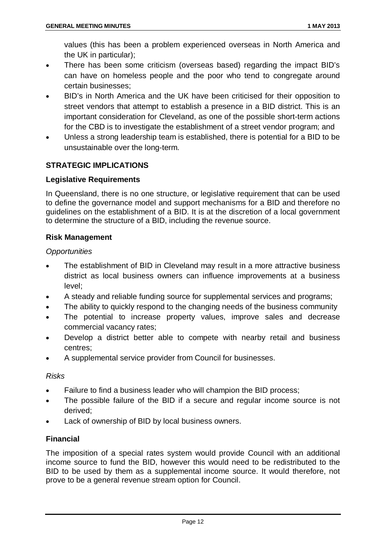values (this has been a problem experienced overseas in North America and the UK in particular);

- There has been some criticism (overseas based) regarding the impact BID's can have on homeless people and the poor who tend to congregate around certain businesses;
- BID's in North America and the UK have been criticised for their opposition to street vendors that attempt to establish a presence in a BID district. This is an important consideration for Cleveland, as one of the possible short-term actions for the CBD is to investigate the establishment of a street vendor program; and
- Unless a strong leadership team is established, there is potential for a BID to be unsustainable over the long-term.

#### **STRATEGIC IMPLICATIONS**

#### **Legislative Requirements**

In Queensland, there is no one structure, or legislative requirement that can be used to define the governance model and support mechanisms for a BID and therefore no guidelines on the establishment of a BID. It is at the discretion of a local government to determine the structure of a BID, including the revenue source.

#### **Risk Management**

#### *Opportunities*

- The establishment of BID in Cleveland may result in a more attractive business district as local business owners can influence improvements at a business level;
- A steady and reliable funding source for supplemental services and programs;
- The ability to quickly respond to the changing needs of the business community
- The potential to increase property values, improve sales and decrease commercial vacancy rates;
- Develop a district better able to compete with nearby retail and business centres;
- A supplemental service provider from Council for businesses.

#### *Risks*

- Failure to find a business leader who will champion the BID process;
- The possible failure of the BID if a secure and regular income source is not derived;
- Lack of ownership of BID by local business owners.

#### **Financial**

The imposition of a special rates system would provide Council with an additional income source to fund the BID, however this would need to be redistributed to the BID to be used by them as a supplemental income source. It would therefore, not prove to be a general revenue stream option for Council.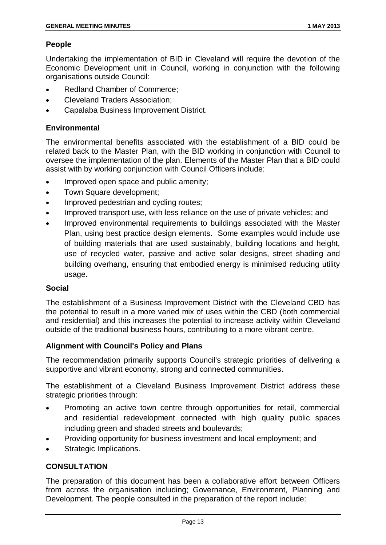#### **People**

Undertaking the implementation of BID in Cleveland will require the devotion of the Economic Development unit in Council, working in conjunction with the following organisations outside Council:

- Redland Chamber of Commerce:
- Cleveland Traders Association;
- Capalaba Business Improvement District.

#### **Environmental**

The environmental benefits associated with the establishment of a BID could be related back to the Master Plan, with the BID working in conjunction with Council to oversee the implementation of the plan. Elements of the Master Plan that a BID could assist with by working conjunction with Council Officers include:

- Improved open space and public amenity:
- Town Square development;
- Improved pedestrian and cycling routes;
- Improved transport use, with less reliance on the use of private vehicles; and
- Improved environmental requirements to buildings associated with the Master Plan, using best practice design elements. Some examples would include use of building materials that are used sustainably, building locations and height, use of recycled water, passive and active solar designs, street shading and building overhang, ensuring that embodied energy is minimised reducing utility usage.

#### **Social**

The establishment of a Business Improvement District with the Cleveland CBD has the potential to result in a more varied mix of uses within the CBD (both commercial and residential) and this increases the potential to increase activity within Cleveland outside of the traditional business hours, contributing to a more vibrant centre.

#### **Alignment with Council's Policy and Plans**

The recommendation primarily supports Council's strategic priorities of delivering a supportive and vibrant economy, strong and connected communities.

The establishment of a Cleveland Business Improvement District address these strategic priorities through:

- Promoting an active town centre through opportunities for retail, commercial and residential redevelopment connected with high quality public spaces including green and shaded streets and boulevards;
- Providing opportunity for business investment and local employment; and
- Strategic Implications.

#### **CONSULTATION**

The preparation of this document has been a collaborative effort between Officers from across the organisation including; Governance, Environment, Planning and Development. The people consulted in the preparation of the report include: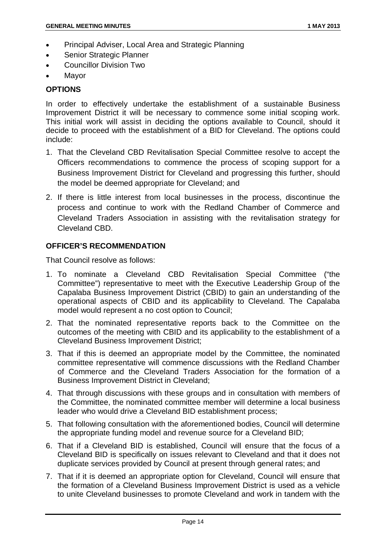- Principal Adviser, Local Area and Strategic Planning
- Senior Strategic Planner
- Councillor Division Two
- Mayor

#### **OPTIONS**

In order to effectively undertake the establishment of a sustainable Business Improvement District it will be necessary to commence some initial scoping work. This initial work will assist in deciding the options available to Council, should it decide to proceed with the establishment of a BID for Cleveland. The options could include:

- 1. That the Cleveland CBD Revitalisation Special Committee resolve to accept the Officers recommendations to commence the process of scoping support for a Business Improvement District for Cleveland and progressing this further, should the model be deemed appropriate for Cleveland; and
- 2. If there is little interest from local businesses in the process, discontinue the process and continue to work with the Redland Chamber of Commerce and Cleveland Traders Association in assisting with the revitalisation strategy for Cleveland CBD.

#### **OFFICER'S RECOMMENDATION**

That Council resolve as follows:

- 1. To nominate a Cleveland CBD Revitalisation Special Committee ("the Committee") representative to meet with the Executive Leadership Group of the Capalaba Business Improvement District (CBID) to gain an understanding of the operational aspects of CBID and its applicability to Cleveland. The Capalaba model would represent a no cost option to Council;
- 2. That the nominated representative reports back to the Committee on the outcomes of the meeting with CBID and its applicability to the establishment of a Cleveland Business Improvement District;
- 3. That if this is deemed an appropriate model by the Committee, the nominated committee representative will commence discussions with the Redland Chamber of Commerce and the Cleveland Traders Association for the formation of a Business Improvement District in Cleveland;
- 4. That through discussions with these groups and in consultation with members of the Committee, the nominated committee member will determine a local business leader who would drive a Cleveland BID establishment process;
- 5. That following consultation with the aforementioned bodies, Council will determine the appropriate funding model and revenue source for a Cleveland BID;
- 6. That if a Cleveland BID is established, Council will ensure that the focus of a Cleveland BID is specifically on issues relevant to Cleveland and that it does not duplicate services provided by Council at present through general rates; and
- 7. That if it is deemed an appropriate option for Cleveland, Council will ensure that the formation of a Cleveland Business Improvement District is used as a vehicle to unite Cleveland businesses to promote Cleveland and work in tandem with the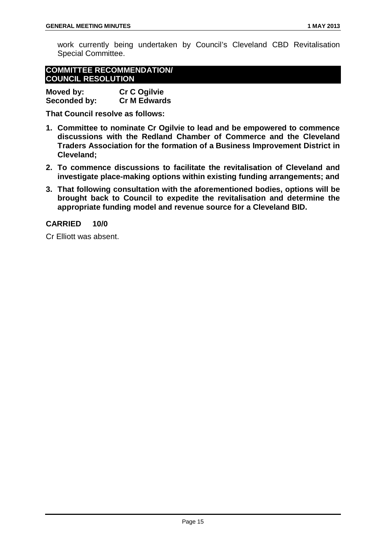work currently being undertaken by Council's Cleveland CBD Revitalisation Special Committee.

| <b>COMMITTEE RECOMMENDATION/</b> |  |  |
|----------------------------------|--|--|
| <b>COUNCIL RESOLUTION</b>        |  |  |

| Moved by:    | <b>Cr C Ogilvie</b> |
|--------------|---------------------|
| Seconded by: | <b>Cr M Edwards</b> |

**That Council resolve as follows:**

- **1. Committee to nominate Cr Ogilvie to lead and be empowered to commence discussions with the Redland Chamber of Commerce and the Cleveland Traders Association for the formation of a Business Improvement District in Cleveland;**
- **2. To commence discussions to facilitate the revitalisation of Cleveland and investigate place-making options within existing funding arrangements; and**
- **3. That following consultation with the aforementioned bodies, options will be brought back to Council to expedite the revitalisation and determine the appropriate funding model and revenue source for a Cleveland BID.**

#### **CARRIED 10/0**

Cr Elliott was absent.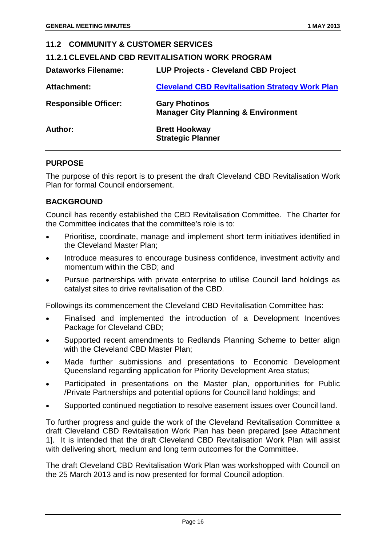#### <span id="page-16-1"></span><span id="page-16-0"></span>**11.2 COMMUNITY & CUSTOMER SERVICES 11.2.1 CLEVELAND CBD REVITALISATION WORK PROGRAM Dataworks Filename: LUP Projects - Cleveland CBD Project Attachment: Cleveland CBD Revitalisation Strategy Work Plan Responsible Officer: Gary Photinos Manager City Planning & Environment Author: Brett Hookway Strategic Planner**

#### **PURPOSE**

The purpose of this report is to present the draft Cleveland CBD Revitalisation Work Plan for formal Council endorsement.

#### **BACKGROUND**

Council has recently established the CBD Revitalisation Committee. The Charter for the Committee indicates that the committee's role is to:

- Prioritise, coordinate, manage and implement short term initiatives identified in the Cleveland Master Plan;
- Introduce measures to encourage business confidence, investment activity and momentum within the CBD; and
- Pursue partnerships with private enterprise to utilise Council land holdings as catalyst sites to drive revitalisation of the CBD.

Followings its commencement the Cleveland CBD Revitalisation Committee has:

- Finalised and implemented the introduction of a Development Incentives Package for Cleveland CBD;
- Supported recent amendments to Redlands Planning Scheme to better align with the Cleveland CBD Master Plan;
- Made further submissions and presentations to Economic Development Queensland regarding application for Priority Development Area status;
- Participated in presentations on the Master plan, opportunities for Public /Private Partnerships and potential options for Council land holdings; and
- Supported continued negotiation to resolve easement issues over Council land.

To further progress and guide the work of the Cleveland Revitalisation Committee a draft Cleveland CBD Revitalisation Work Plan has been prepared [see Attachment 1]. It is intended that the draft Cleveland CBD Revitalisation Work Plan will assist with delivering short, medium and long term outcomes for the Committee.

The draft Cleveland CBD Revitalisation Work Plan was workshopped with Council on the 25 March 2013 and is now presented for formal Council adoption.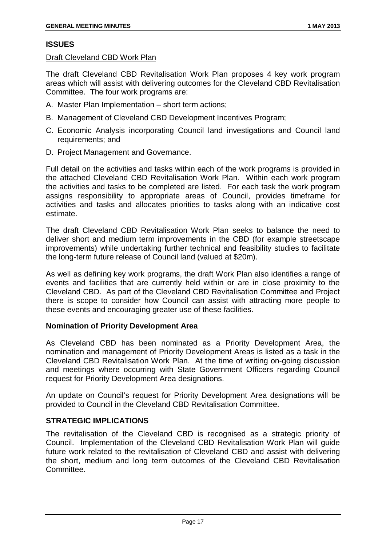#### **ISSUES**

#### Draft Cleveland CBD Work Plan

The draft Cleveland CBD Revitalisation Work Plan proposes 4 key work program areas which will assist with delivering outcomes for the Cleveland CBD Revitalisation Committee. The four work programs are:

- A. Master Plan Implementation short term actions;
- B. Management of Cleveland CBD Development Incentives Program;
- C. Economic Analysis incorporating Council land investigations and Council land requirements; and
- D. Project Management and Governance.

Full detail on the activities and tasks within each of the work programs is provided in the attached Cleveland CBD Revitalisation Work Plan. Within each work program the activities and tasks to be completed are listed. For each task the work program assigns responsibility to appropriate areas of Council, provides timeframe for activities and tasks and allocates priorities to tasks along with an indicative cost estimate.

The draft Cleveland CBD Revitalisation Work Plan seeks to balance the need to deliver short and medium term improvements in the CBD (for example streetscape improvements) while undertaking further technical and feasibility studies to facilitate the long-term future release of Council land (valued at \$20m).

As well as defining key work programs, the draft Work Plan also identifies a range of events and facilities that are currently held within or are in close proximity to the Cleveland CBD. As part of the Cleveland CBD Revitalisation Committee and Project there is scope to consider how Council can assist with attracting more people to these events and encouraging greater use of these facilities.

#### **Nomination of Priority Development Area**

As Cleveland CBD has been nominated as a Priority Development Area, the nomination and management of Priority Development Areas is listed as a task in the Cleveland CBD Revitalisation Work Plan. At the time of writing on-going discussion and meetings where occurring with State Government Officers regarding Council request for Priority Development Area designations.

An update on Council's request for Priority Development Area designations will be provided to Council in the Cleveland CBD Revitalisation Committee.

#### **STRATEGIC IMPLICATIONS**

The revitalisation of the Cleveland CBD is recognised as a strategic priority of Council. Implementation of the Cleveland CBD Revitalisation Work Plan will guide future work related to the revitalisation of Cleveland CBD and assist with delivering the short, medium and long term outcomes of the Cleveland CBD Revitalisation Committee.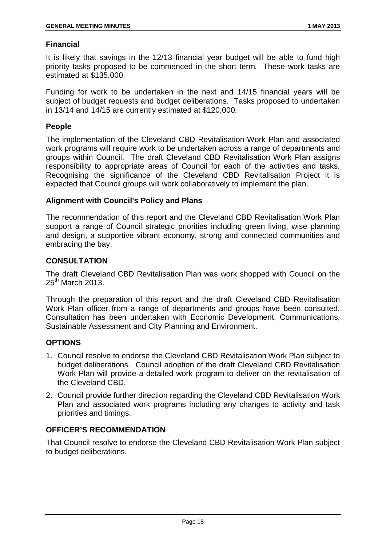#### **Financial**

It is likely that savings in the 12/13 financial year budget will be able to fund high priority tasks proposed to be commenced in the short term. These work tasks are estimated at \$135,000.

Funding for work to be undertaken in the next and 14/15 financial years will be subject of budget requests and budget deliberations. Tasks proposed to undertaken in 13/14 and 14/15 are currently estimated at \$120,000.

#### **People**

The implementation of the Cleveland CBD Revitalisation Work Plan and associated work programs will require work to be undertaken across a range of departments and groups within Council. The draft Cleveland CBD Revitalisation Work Plan assigns responsibility to appropriate areas of Council for each of the activities and tasks. Recognising the significance of the Cleveland CBD Revitalisation Project it is expected that Council groups will work collaboratively to implement the plan.

#### **Alignment with Council's Policy and Plans**

The recommendation of this report and the Cleveland CBD Revitalisation Work Plan support a range of Council strategic priorities including green living, wise planning and design, a supportive vibrant economy, strong and connected communities and embracing the bay.

#### **CONSULTATION**

The draft Cleveland CBD Revitalisation Plan was work shopped with Council on the  $25<sup>th</sup>$  March 2013.

Through the preparation of this report and the draft Cleveland CBD Revitalisation Work Plan officer from a range of departments and groups have been consulted. Consultation has been undertaken with Economic Development, Communications, Sustainable Assessment and City Planning and Environment.

#### **OPTIONS**

- 1. Council resolve to endorse the Cleveland CBD Revitalisation Work Plan subject to budget deliberations. Council adoption of the draft Cleveland CBD Revitalisation Work Plan will provide a detailed work program to deliver on the revitalisation of the Cleveland CBD.
- 2. Council provide further direction regarding the Cleveland CBD Revitalisation Work Plan and associated work programs including any changes to activity and task priorities and timings.

#### **OFFICER'S RECOMMENDATION**

That Council resolve to endorse the Cleveland CBD Revitalisation Work Plan subject to budget deliberations.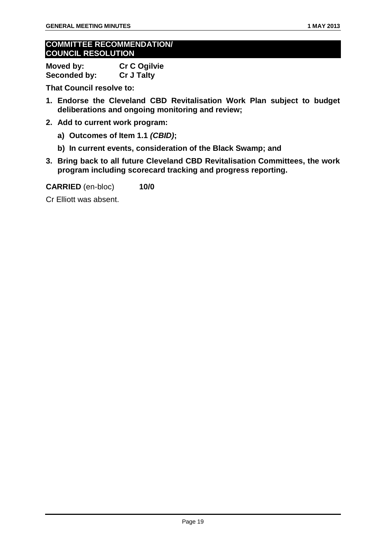#### **COMMITTEE RECOMMENDATION/ COUNCIL RESOLUTION**

| Moved by:    | Cr C Ogilvie      |
|--------------|-------------------|
| Seconded by: | <b>Cr J Talty</b> |

**That Council resolve to:**

- **1. Endorse the Cleveland CBD Revitalisation Work Plan subject to budget deliberations and ongoing monitoring and review;**
- **2. Add to current work program:**
	- **a) Outcomes of Item 1.1** *(CBID)***;**
	- **b) In current events, consideration of the Black Swamp; and**
- **3. Bring back to all future Cleveland CBD Revitalisation Committees, the work program including scorecard tracking and progress reporting.**

**CARRIED** (en-bloc) **10/0**

Cr Elliott was absent.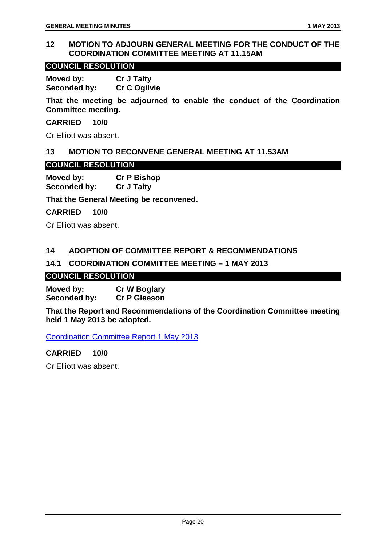#### <span id="page-20-0"></span>**12 MOTION TO ADJOURN GENERAL MEETING FOR THE CONDUCT OF THE COORDINATION COMMITTEE MEETING AT 11.15AM**

#### **COUNCIL RESOLUTION**

**Moved by: Cr J Talty Seconded by: Cr C Ogilvie**

**That the meeting be adjourned to enable the conduct of the Coordination Committee meeting.**

**CARRIED 10/0**

Cr Elliott was absent.

#### <span id="page-20-1"></span>**13 MOTION TO RECONVENE GENERAL MEETING AT 11.53AM**

**COUNCIL RESOLUTION**

**Moved by: Cr P Bishop Seconded by: Cr J Talty**

**That the General Meeting be reconvened.**

**CARRIED 10/0**

Cr Elliott was absent.

#### <span id="page-20-2"></span>**14 ADOPTION OF COMMITTEE REPORT & RECOMMENDATIONS**

#### <span id="page-20-3"></span>**14.1 COORDINATION COMMITTEE MEETING – 1 MAY 2013**

#### **COUNCIL RESOLUTION**

**Moved by: Cr W Boglary Seconded by: Cr P Gleeson**

**That the Report and Recommendations of the Coordination Committee meeting held 1 May 2013 be adopted.**

Coordination Committee Report 1 May 2013

#### **CARRIED 10/0**

Cr Elliott was absent.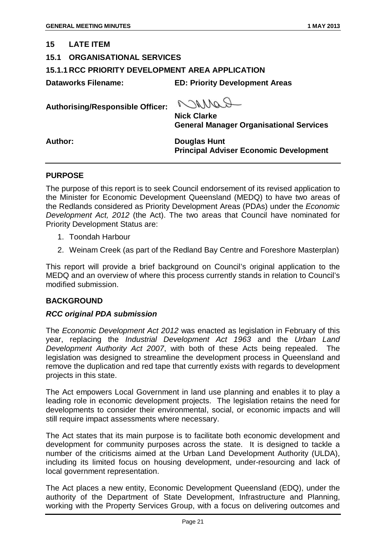#### <span id="page-21-0"></span>**15 LATE ITEM**

#### <span id="page-21-1"></span>**15.1 ORGANISATIONAL SERVICES**

#### <span id="page-21-2"></span>**15.1.1 RCC PRIORITY DEVELOPMENT AREA APPLICATION**

**Dataworks Filename: ED: Priority Development Areas**

**Authorising/Responsible Officer:**

RANNAA

**Nick Clarke General Manager Organisational Services**

**Author: Douglas Hunt Principal Adviser Economic Development**

#### **PURPOSE**

The purpose of this report is to seek Council endorsement of its revised application to the Minister for Economic Development Queensland (MEDQ) to have two areas of the Redlands considered as Priority Development Areas (PDAs) under the *Economic Development Act, 2012* (the Act). The two areas that Council have nominated for Priority Development Status are:

- 1. Toondah Harbour
- 2. Weinam Creek (as part of the Redland Bay Centre and Foreshore Masterplan)

This report will provide a brief background on Council's original application to the MEDQ and an overview of where this process currently stands in relation to Council's modified submission.

#### **BACKGROUND**

#### *RCC original PDA submission*

The *Economic Development Act 2012* was enacted as legislation in February of this year, replacing the *Industrial Development Act 1963* and the *Urban Land Development Authority Act 2007*, with both of these Acts being repealed. The legislation was designed to streamline the development process in Queensland and remove the duplication and red tape that currently exists with regards to development projects in this state.

The Act empowers Local Government in land use planning and enables it to play a leading role in economic development projects. The legislation retains the need for developments to consider their environmental, social, or economic impacts and will still require impact assessments where necessary.

The Act states that its main purpose is to facilitate both economic development and development for community purposes across the state. It is designed to tackle a number of the criticisms aimed at the Urban Land Development Authority (ULDA), including its limited focus on housing development, under-resourcing and lack of local government representation.

The Act places a new entity, Economic Development Queensland (EDQ), under the authority of the Department of State Development, Infrastructure and Planning, working with the Property Services Group, with a focus on delivering outcomes and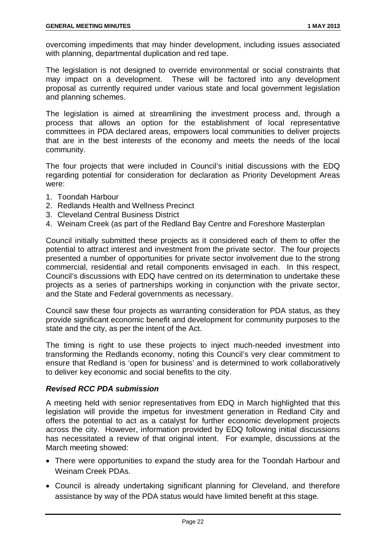overcoming impediments that may hinder development, including issues associated with planning, departmental duplication and red tape.

The legislation is not designed to override environmental or social constraints that may impact on a development. These will be factored into any development proposal as currently required under various state and local government legislation and planning schemes.

The legislation is aimed at streamlining the investment process and, through a process that allows an option for the establishment of local representative committees in PDA declared areas, empowers local communities to deliver projects that are in the best interests of the economy and meets the needs of the local community.

The four projects that were included in Council's initial discussions with the EDQ regarding potential for consideration for declaration as Priority Development Areas were:

- 1. Toondah Harbour
- 2. Redlands Health and Wellness Precinct
- 3. Cleveland Central Business District
- 4. Weinam Creek (as part of the Redland Bay Centre and Foreshore Masterplan

Council initially submitted these projects as it considered each of them to offer the potential to attract interest and investment from the private sector. The four projects presented a number of opportunities for private sector involvement due to the strong commercial, residential and retail components envisaged in each. In this respect, Council's discussions with EDQ have centred on its determination to undertake these projects as a series of partnerships working in conjunction with the private sector, and the State and Federal governments as necessary.

Council saw these four projects as warranting consideration for PDA status, as they provide significant economic benefit and development for community purposes to the state and the city, as per the intent of the Act.

The timing is right to use these projects to inject much-needed investment into transforming the Redlands economy, noting this Council's very clear commitment to ensure that Redland is 'open for business' and is determined to work collaboratively to deliver key economic and social benefits to the city.

#### *Revised RCC PDA submission*

A meeting held with senior representatives from EDQ in March highlighted that this legislation will provide the impetus for investment generation in Redland City and offers the potential to act as a catalyst for further economic development projects across the city. However, information provided by EDQ following initial discussions has necessitated a review of that original intent. For example, discussions at the March meeting showed:

- There were opportunities to expand the study area for the Toondah Harbour and Weinam Creek PDAs.
- Council is already undertaking significant planning for Cleveland, and therefore assistance by way of the PDA status would have limited benefit at this stage.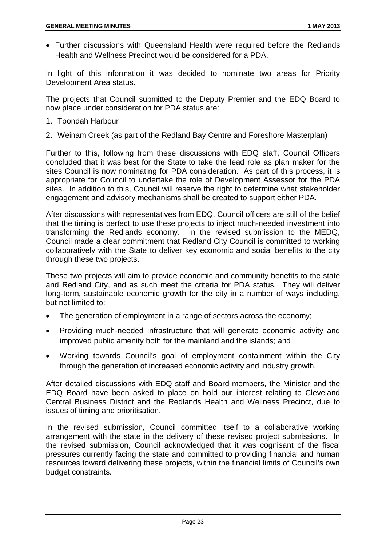• Further discussions with Queensland Health were required before the Redlands Health and Wellness Precinct would be considered for a PDA.

In light of this information it was decided to nominate two areas for Priority Development Area status.

The projects that Council submitted to the Deputy Premier and the EDQ Board to now place under consideration for PDA status are:

- 1. Toondah Harbour
- 2. Weinam Creek (as part of the Redland Bay Centre and Foreshore Masterplan)

Further to this, following from these discussions with EDQ staff, Council Officers concluded that it was best for the State to take the lead role as plan maker for the sites Council is now nominating for PDA consideration. As part of this process, it is appropriate for Council to undertake the role of Development Assessor for the PDA sites. In addition to this, Council will reserve the right to determine what stakeholder engagement and advisory mechanisms shall be created to support either PDA.

After discussions with representatives from EDQ, Council officers are still of the belief that the timing is perfect to use these projects to inject much-needed investment into transforming the Redlands economy. In the revised submission to the MEDQ, Council made a clear commitment that Redland City Council is committed to working collaboratively with the State to deliver key economic and social benefits to the city through these two projects.

These two projects will aim to provide economic and community benefits to the state and Redland City, and as such meet the criteria for PDA status. They will deliver long-term, sustainable economic growth for the city in a number of ways including, but not limited to:

- The generation of employment in a range of sectors across the economy;
- Providing much-needed infrastructure that will generate economic activity and improved public amenity both for the mainland and the islands; and
- Working towards Council's goal of employment containment within the City through the generation of increased economic activity and industry growth.

After detailed discussions with EDQ staff and Board members, the Minister and the EDQ Board have been asked to place on hold our interest relating to Cleveland Central Business District and the Redlands Health and Wellness Precinct, due to issues of timing and prioritisation.

In the revised submission, Council committed itself to a collaborative working arrangement with the state in the delivery of these revised project submissions. In the revised submission, Council acknowledged that it was cognisant of the fiscal pressures currently facing the state and committed to providing financial and human resources toward delivering these projects, within the financial limits of Council's own budget constraints.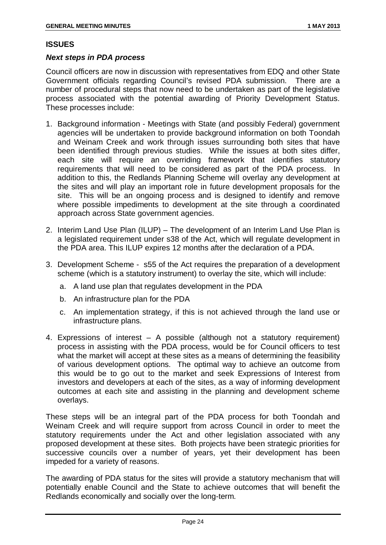#### **ISSUES**

#### *Next steps in PDA process*

Council officers are now in discussion with representatives from EDQ and other State Government officials regarding Council's revised PDA submission. There are a number of procedural steps that now need to be undertaken as part of the legislative process associated with the potential awarding of Priority Development Status. These processes include:

- 1. Background information Meetings with State (and possibly Federal) government agencies will be undertaken to provide background information on both Toondah and Weinam Creek and work through issues surrounding both sites that have been identified through previous studies. While the issues at both sites differ, each site will require an overriding framework that identifies statutory requirements that will need to be considered as part of the PDA process. In addition to this, the Redlands Planning Scheme will overlay any development at the sites and will play an important role in future development proposals for the site. This will be an ongoing process and is designed to identify and remove where possible impediments to development at the site through a coordinated approach across State government agencies.
- 2. Interim Land Use Plan (ILUP) The development of an Interim Land Use Plan is a legislated requirement under s38 of the Act, which will regulate development in the PDA area. This ILUP expires 12 months after the declaration of a PDA.
- 3. Development Scheme s55 of the Act requires the preparation of a development scheme (which is a statutory instrument) to overlay the site, which will include:
	- a. A land use plan that regulates development in the PDA
	- b. An infrastructure plan for the PDA
	- c. An implementation strategy, if this is not achieved through the land use or infrastructure plans.
- 4. Expressions of interest A possible (although not a statutory requirement) process in assisting with the PDA process, would be for Council officers to test what the market will accept at these sites as a means of determining the feasibility of various development options. The optimal way to achieve an outcome from this would be to go out to the market and seek Expressions of Interest from investors and developers at each of the sites, as a way of informing development outcomes at each site and assisting in the planning and development scheme overlays.

These steps will be an integral part of the PDA process for both Toondah and Weinam Creek and will require support from across Council in order to meet the statutory requirements under the Act and other legislation associated with any proposed development at these sites. Both projects have been strategic priorities for successive councils over a number of years, yet their development has been impeded for a variety of reasons.

The awarding of PDA status for the sites will provide a statutory mechanism that will potentially enable Council and the State to achieve outcomes that will benefit the Redlands economically and socially over the long-term.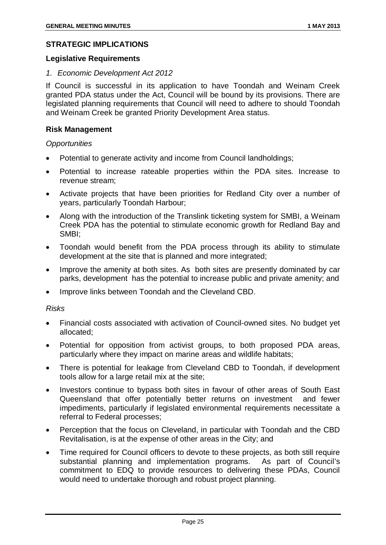#### **STRATEGIC IMPLICATIONS**

#### **Legislative Requirements**

#### *1. Economic Development Act 2012*

If Council is successful in its application to have Toondah and Weinam Creek granted PDA status under the Act, Council will be bound by its provisions. There are legislated planning requirements that Council will need to adhere to should Toondah and Weinam Creek be granted Priority Development Area status.

#### **Risk Management**

#### *Opportunities*

- Potential to generate activity and income from Council landholdings;
- Potential to increase rateable properties within the PDA sites. Increase to revenue stream;
- Activate projects that have been priorities for Redland City over a number of years, particularly Toondah Harbour;
- Along with the introduction of the Translink ticketing system for SMBI, a Weinam Creek PDA has the potential to stimulate economic growth for Redland Bay and SMBI;
- Toondah would benefit from the PDA process through its ability to stimulate development at the site that is planned and more integrated;
- Improve the amenity at both sites. As both sites are presently dominated by car parks, development has the potential to increase public and private amenity; and
- Improve links between Toondah and the Cleveland CBD.

#### *Risks*

- Financial costs associated with activation of Council-owned sites. No budget yet allocated;
- Potential for opposition from activist groups, to both proposed PDA areas, particularly where they impact on marine areas and wildlife habitats;
- There is potential for leakage from Cleveland CBD to Toondah, if development tools allow for a large retail mix at the site;
- Investors continue to bypass both sites in favour of other areas of South East Queensland that offer potentially better returns on investment and fewer impediments, particularly if legislated environmental requirements necessitate a referral to Federal processes;
- Perception that the focus on Cleveland, in particular with Toondah and the CBD Revitalisation, is at the expense of other areas in the City; and
- Time required for Council officers to devote to these projects, as both still require substantial planning and implementation programs. As part of Council's commitment to EDQ to provide resources to delivering these PDAs, Council would need to undertake thorough and robust project planning.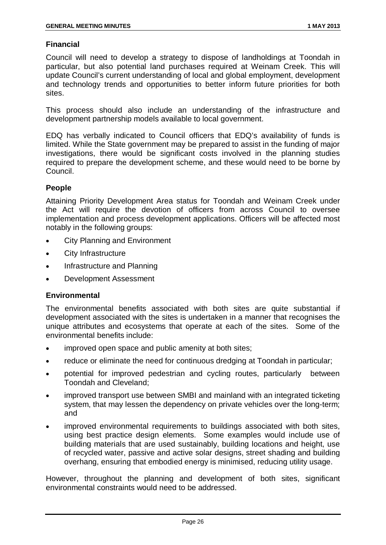#### **Financial**

Council will need to develop a strategy to dispose of landholdings at Toondah in particular, but also potential land purchases required at Weinam Creek. This will update Council's current understanding of local and global employment, development and technology trends and opportunities to better inform future priorities for both sites.

This process should also include an understanding of the infrastructure and development partnership models available to local government.

EDQ has verbally indicated to Council officers that EDQ's availability of funds is limited. While the State government may be prepared to assist in the funding of major investigations, there would be significant costs involved in the planning studies required to prepare the development scheme, and these would need to be borne by Council.

#### **People**

Attaining Priority Development Area status for Toondah and Weinam Creek under the Act will require the devotion of officers from across Council to oversee implementation and process development applications. Officers will be affected most notably in the following groups:

- City Planning and Environment
- City Infrastructure
- Infrastructure and Planning
- Development Assessment

#### **Environmental**

The environmental benefits associated with both sites are quite substantial if development associated with the sites is undertaken in a manner that recognises the unique attributes and ecosystems that operate at each of the sites. Some of the environmental benefits include:

- improved open space and public amenity at both sites;
- reduce or eliminate the need for continuous dredging at Toondah in particular;
- potential for improved pedestrian and cycling routes, particularly between Toondah and Cleveland;
- improved transport use between SMBI and mainland with an integrated ticketing system, that may lessen the dependency on private vehicles over the long-term; and
- improved environmental requirements to buildings associated with both sites, using best practice design elements. Some examples would include use of building materials that are used sustainably, building locations and height, use of recycled water, passive and active solar designs, street shading and building overhang, ensuring that embodied energy is minimised, reducing utility usage.

However, throughout the planning and development of both sites, significant environmental constraints would need to be addressed.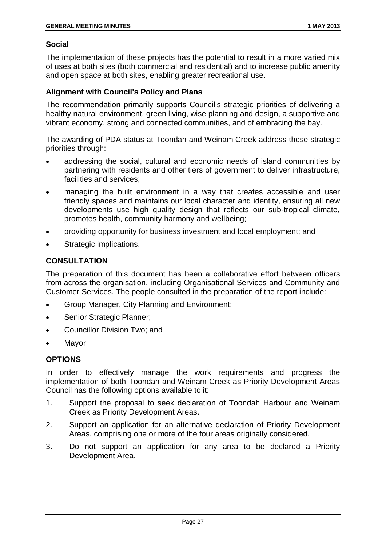#### **Social**

The implementation of these projects has the potential to result in a more varied mix of uses at both sites (both commercial and residential) and to increase public amenity and open space at both sites, enabling greater recreational use.

#### **Alignment with Council's Policy and Plans**

The recommendation primarily supports Council's strategic priorities of delivering a healthy natural environment, green living, wise planning and design, a supportive and vibrant economy, strong and connected communities, and of embracing the bay.

The awarding of PDA status at Toondah and Weinam Creek address these strategic priorities through:

- addressing the social, cultural and economic needs of island communities by partnering with residents and other tiers of government to deliver infrastructure, facilities and services;
- managing the built environment in a way that creates accessible and user friendly spaces and maintains our local character and identity, ensuring all new developments use high quality design that reflects our sub-tropical climate, promotes health, community harmony and wellbeing;
- providing opportunity for business investment and local employment; and
- Strategic implications.

#### **CONSULTATION**

The preparation of this document has been a collaborative effort between officers from across the organisation, including Organisational Services and Community and Customer Services. The people consulted in the preparation of the report include:

- Group Manager, City Planning and Environment;
- Senior Strategic Planner:
- Councillor Division Two; and
- **Mayor**

#### **OPTIONS**

In order to effectively manage the work requirements and progress the implementation of both Toondah and Weinam Creek as Priority Development Areas Council has the following options available to it:

- 1. Support the proposal to seek declaration of Toondah Harbour and Weinam Creek as Priority Development Areas.
- 2. Support an application for an alternative declaration of Priority Development Areas, comprising one or more of the four areas originally considered.
- 3. Do not support an application for any area to be declared a Priority Development Area.